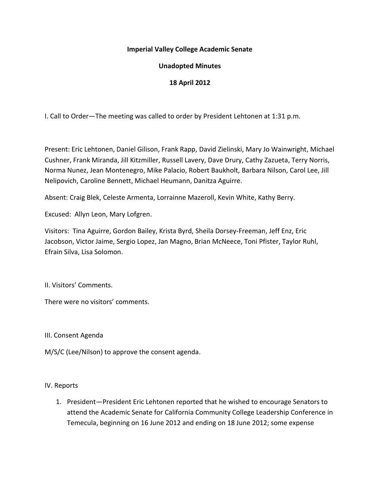### **Imperial Valley College Academic Senate**

# **Unadopted Minutes**

# **18 April 2012**

I. Call to Order—The meeting was called to order by President Lehtonen at 1:31 p.m.

Present: Eric Lehtonen, Daniel Gilison, Frank Rapp, David Zielinski, Mary Jo Wainwright, Michael Cushner, Frank Miranda, Jill Kitzmiller, Russell Lavery, Dave Drury, Cathy Zazueta, Terry Norris, Norma Nunez, Jean Montenegro, Mike Palacio, Robert Baukholt, Barbara Nilson, Carol Lee, Jill Nelipovich, Caroline Bennett, Michael Heumann, Danitza Aguirre.

Absent: Craig Blek, Celeste Armenta, Lorrainne Mazeroll, Kevin White, Kathy Berry.

Excused: Allyn Leon, Mary Lofgren.

Visitors: Tina Aguirre, Gordon Bailey, Krista Byrd, Sheila Dorsey-Freeman, Jeff Enz, Eric Jacobson, Victor Jaime, Sergio Lopez, Jan Magno, Brian McNeece, Toni Pfister, Taylor Ruhl, Efrain Silva, Lisa Solomon.

II. Visitors' Comments.

There were no visitors' comments.

III. Consent Agenda

M/S/C (Lee/Nilson) to approve the consent agenda.

#### IV. Reports

1. President—President Eric Lehtonen reported that he wished to encourage Senators to attend the Academic Senate for California Community College Leadership Conference in Temecula, beginning on 16 June 2012 and ending on 18 June 2012; some expense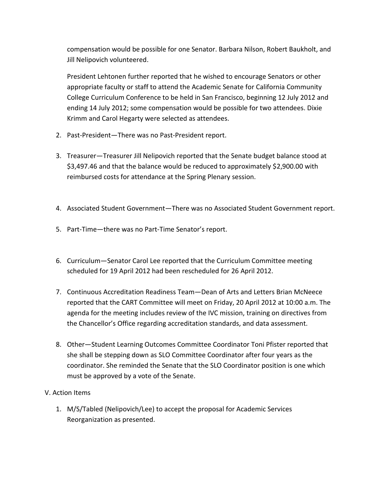compensation would be possible for one Senator. Barbara Nilson, Robert Baukholt, and Jill Nelipovich volunteered.

President Lehtonen further reported that he wished to encourage Senators or other appropriate faculty or staff to attend the Academic Senate for California Community College Curriculum Conference to be held in San Francisco, beginning 12 July 2012 and ending 14 July 2012; some compensation would be possible for two attendees. Dixie Krimm and Carol Hegarty were selected as attendees.

- 2. Past-President—There was no Past-President report.
- 3. Treasurer—Treasurer Jill Nelipovich reported that the Senate budget balance stood at \$3,497.46 and that the balance would be reduced to approximately \$2,900.00 with reimbursed costs for attendance at the Spring Plenary session.
- 4. Associated Student Government—There was no Associated Student Government report.
- 5. Part-Time—there was no Part-Time Senator's report.
- 6. Curriculum—Senator Carol Lee reported that the Curriculum Committee meeting scheduled for 19 April 2012 had been rescheduled for 26 April 2012.
- 7. Continuous Accreditation Readiness Team—Dean of Arts and Letters Brian McNeece reported that the CART Committee will meet on Friday, 20 April 2012 at 10:00 a.m. The agenda for the meeting includes review of the IVC mission, training on directives from the Chancellor's Office regarding accreditation standards, and data assessment.
- 8. Other—Student Learning Outcomes Committee Coordinator Toni Pfister reported that she shall be stepping down as SLO Committee Coordinator after four years as the coordinator. She reminded the Senate that the SLO Coordinator position is one which must be approved by a vote of the Senate.

# V. Action Items

1. M/S/Tabled (Nelipovich/Lee) to accept the proposal for Academic Services Reorganization as presented.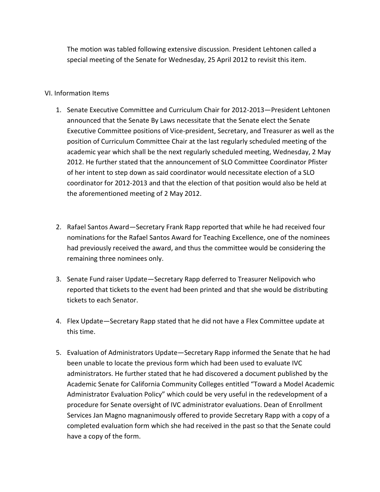The motion was tabled following extensive discussion. President Lehtonen called a special meeting of the Senate for Wednesday, 25 April 2012 to revisit this item.

### VI. Information Items

- 1. Senate Executive Committee and Curriculum Chair for 2012-2013—President Lehtonen announced that the Senate By Laws necessitate that the Senate elect the Senate Executive Committee positions of Vice-president, Secretary, and Treasurer as well as the position of Curriculum Committee Chair at the last regularly scheduled meeting of the academic year which shall be the next regularly scheduled meeting, Wednesday, 2 May 2012. He further stated that the announcement of SLO Committee Coordinator Pfister of her intent to step down as said coordinator would necessitate election of a SLO coordinator for 2012-2013 and that the election of that position would also be held at the aforementioned meeting of 2 May 2012.
- 2. Rafael Santos Award—Secretary Frank Rapp reported that while he had received four nominations for the Rafael Santos Award for Teaching Excellence, one of the nominees had previously received the award, and thus the committee would be considering the remaining three nominees only.
- 3. Senate Fund raiser Update—Secretary Rapp deferred to Treasurer Nelipovich who reported that tickets to the event had been printed and that she would be distributing tickets to each Senator.
- 4. Flex Update—Secretary Rapp stated that he did not have a Flex Committee update at this time.
- 5. Evaluation of Administrators Update—Secretary Rapp informed the Senate that he had been unable to locate the previous form which had been used to evaluate IVC administrators. He further stated that he had discovered a document published by the Academic Senate for California Community Colleges entitled "Toward a Model Academic Administrator Evaluation Policy" which could be very useful in the redevelopment of a procedure for Senate oversight of IVC administrator evaluations. Dean of Enrollment Services Jan Magno magnanimously offered to provide Secretary Rapp with a copy of a completed evaluation form which she had received in the past so that the Senate could have a copy of the form.